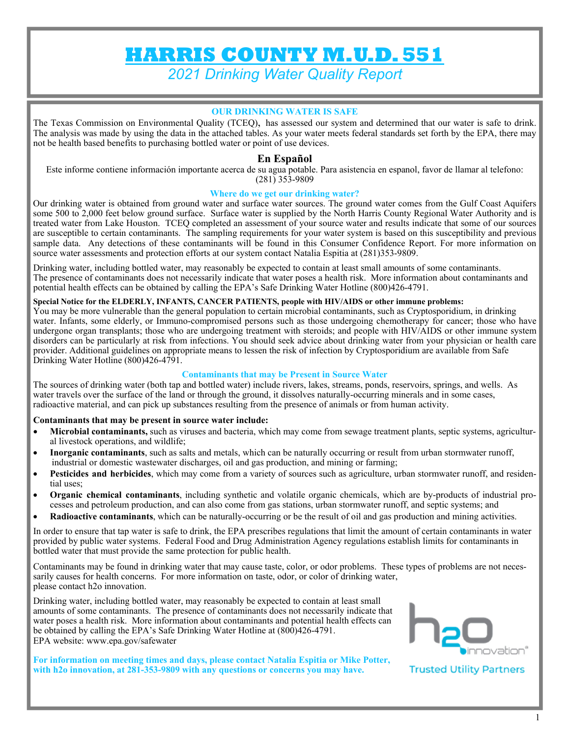# **HARRIS COUNTY M.U.D. 551**

*2021 Drinking Water Quality Report* 

#### **OUR DRINKING WATER IS SAFE**

The Texas Commission on Environmental Quality (TCEQ), has assessed our system and determined that our water is safe to drink. The analysis was made by using the data in the attached tables. As your water meets federal standards set forth by the EPA, there may not be health based benefits to purchasing bottled water or point of use devices.

### **En Español**

Este informe contiene información importante acerca de su agua potable. Para asistencia en espanol, favor de llamar al telefono:  $(281)$  353-9809

#### **Where do we get our drinking water?**

Our drinking water is obtained from ground water and surface water sources. The ground water comes from the Gulf Coast Aquifers some 500 to 2,000 feet below ground surface. Surface water is supplied by the North Harris County Regional Water Authority and is treated water from Lake Houston. TCEQ completed an assessment of your source water and results indicate that some of our sources are susceptible to certain contaminants. The sampling requirements for your water system is based on this susceptibility and previous sample data. Any detections of these contaminants will be found in this Consumer Confidence Report. For more information on source water assessments and protection efforts at our system contact Natalia Espitia at (281)353-9809.

Drinking water, including bottled water, may reasonably be expected to contain at least small amounts of some contaminants. The presence of contaminants does not necessarily indicate that water poses a health risk. More information about contaminants and potential health effects can be obtained by calling the EPA's Safe Drinking Water Hotline (800)426-4791.

#### **Special Notice for the ELDERLY, INFANTS, CANCER PATIENTS, people with HIV/AIDS or other immune problems:**

You may be more vulnerable than the general population to certain microbial contaminants, such as Cryptosporidium, in drinking water. Infants, some elderly, or Immuno-compromised persons such as those undergoing chemotherapy for cancer; those who have undergone organ transplants; those who are undergoing treatment with steroids; and people with HIV/AIDS or other immune system disorders can be particularly at risk from infections. You should seek advice about drinking water from your physician or health care provider. Additional guidelines on appropriate means to lessen the risk of infection by Cryptosporidium are available from Safe Drinking Water Hotline (800)426-4791.

#### **Contaminants that may be Present in Source Water**

The sources of drinking water (both tap and bottled water) include rivers, lakes, streams, ponds, reservoirs, springs, and wells. As water travels over the surface of the land or through the ground, it dissolves naturally-occurring minerals and in some cases, radioactive material, and can pick up substances resulting from the presence of animals or from human activity.

#### **Contaminants that may be present in source water include:**

- **Microbial contaminants,** such as viruses and bacteria, which may come from sewage treatment plants, septic systems, agricultural livestock operations, and wildlife;
- **Inorganic contaminants**, such as salts and metals, which can be naturally occurring or result from urban stormwater runoff, industrial or domestic wastewater discharges, oil and gas production, and mining or farming;
- **Pesticides and herbicides**, which may come from a variety of sources such as agriculture, urban stormwater runoff, and residential uses;
- **Organic chemical contaminants**, including synthetic and volatile organic chemicals, which are by-products of industrial processes and petroleum production, and can also come from gas stations, urban stormwater runoff, and septic systems; and
- **Radioactive contaminants**, which can be naturally-occurring or be the result of oil and gas production and mining activities.

In order to ensure that tap water is safe to drink, the EPA prescribes regulations that limit the amount of certain contaminants in water provided by public water systems. Federal Food and Drug Administration Agency regulations establish limits for contaminants in bottled water that must provide the same protection for public health.

Contaminants may be found in drinking water that may cause taste, color, or odor problems. These types of problems are not necessarily causes for health concerns. For more information on taste, odor, or color of drinking water, please contact h2o innovation.

Drinking water, including bottled water, may reasonably be expected to contain at least small amounts of some contaminants. The presence of contaminants does not necessarily indicate that water poses a health risk. More information about contaminants and potential health effects can be obtained by calling the EPA's Safe Drinking Water Hotline at (800)426-4791. EPA website: www.epa.gov/safewater

**For information on meeting times and days, please contact Natalia Espitia or Mike Potter, with h2o innovation, at 281-353-9809 with any questions or concerns you may have.** 



**Trusted Utility Partners**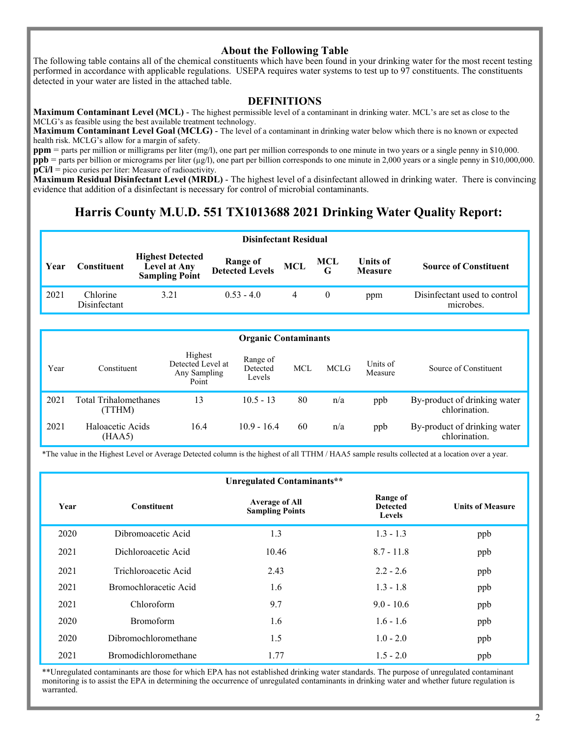### **About the Following Table**

The following table contains all of the chemical constituents which have been found in your drinking water for the most recent testing performed in accordance with applicable regulations. USEPA requires water systems to test up to 97 constituents. The constituents detected in your water are listed in the attached table.

#### **DEFINITIONS**

**Maximum Contaminant Level (MCL)** - The highest permissible level of a contaminant in drinking water. MCL's are set as close to the MCLG's as feasible using the best available treatment technology.

**Maximum Contaminant Level Goal (MCLG)** - The level of a contaminant in drinking water below which there is no known or expected health risk. MCLG's allow for a margin of safety.

**ppm** = parts per million or milligrams per liter (mg/l), one part per million corresponds to one minute in two years or a single penny in \$10,000. **ppb** = parts per billion or micrograms per liter  $(\mu g/l)$ , one part per billion corresponds to one minute in 2,000 years or a single penny in \$10,000,000. **pCi/l** = pico curies per liter: Measure of radioactivity.

**Maximum Residual Disinfectant Level (MRDL)** - The highest level of a disinfectant allowed in drinking water. There is convincing evidence that addition of a disinfectant is necessary for control of microbial contaminants.

# **Harris County M.U.D. 551 TX1013688 2021 Drinking Water Quality Report:**

|      | <b>Disinfectant Residual</b> |                                                                  |                                     |            |                 |                            |                                           |  |  |
|------|------------------------------|------------------------------------------------------------------|-------------------------------------|------------|-----------------|----------------------------|-------------------------------------------|--|--|
| Year | donstituenti                 | <b>Highest Detected</b><br>Level at Any<br><b>Sampling Point</b> | <b>Range of<br/>Detected Levels</b> | <b>MCL</b> | $\frac{MCL}{G}$ | Units of<br><b>Measure</b> | <b>Source of Constituent</b>              |  |  |
| 2021 | Chlorine<br>Disinfectant     | 3.21                                                             | $0.53 - 4.0$                        |            |                 | ppm                        | Disinfectant used to control<br>microbes. |  |  |

|      | <b>Organic Contaminants</b>     |                                                       |                                |            |             |                     |                                               |  |  |  |
|------|---------------------------------|-------------------------------------------------------|--------------------------------|------------|-------------|---------------------|-----------------------------------------------|--|--|--|
| Year | Constituent                     | Highest<br>Detected Level at<br>Any Sampling<br>Point | Range of<br>Detected<br>Levels | <b>MCL</b> | <b>MCLG</b> | Units of<br>Measure | Source of Constituent                         |  |  |  |
| 2021 | Total Trihalomethanes<br>(TTHM) | 13                                                    | $10.5 - 13$                    | 80         | n/a         | ppb                 | By-product of drinking water<br>chlorination. |  |  |  |
| 2021 | Haloacetic Acids<br>(HAA5)      | 16.4                                                  | $10.9 - 16.4$                  | 60         | n/a         | ppb                 | By-product of drinking water<br>chlorination. |  |  |  |

\*The value in the Highest Level or Average Detected column is the highest of all TTHM / HAA5 sample results collected at a location over a year.

|      |                             | Unregulated Contaminants**                      |                                              |                         |
|------|-----------------------------|-------------------------------------------------|----------------------------------------------|-------------------------|
| Year | <b>Constituent</b>          | <b>Average of All</b><br><b>Sampling Points</b> | Range of<br><b>Detected</b><br><b>Levels</b> | <b>Units of Measure</b> |
| 2020 | Dibromoacetic Acid          | 1.3                                             | $1.3 - 1.3$                                  | ppb                     |
| 2021 | Dichloroacetic Acid         | 10.46                                           | $8.7 - 11.8$                                 | ppb                     |
| 2021 | Trichloroacetic Acid        | 2.43                                            | $2.2 - 2.6$                                  | ppb                     |
| 2021 | Bromochloracetic Acid       | 1.6                                             | $1.3 - 1.8$                                  | ppb                     |
| 2021 | Chloroform                  | 9.7                                             | $9.0 - 10.6$                                 | ppb                     |
| 2020 | <b>Bromoform</b>            | 1.6                                             | $1.6 - 1.6$                                  | ppb                     |
| 2020 | Dibromochloromethane        | 1.5                                             | $1.0 - 2.0$                                  | ppb                     |
| 2021 | <b>Bromodichloromethane</b> | 1.77                                            | $1.5 - 2.0$                                  | ppb                     |

\*\*Unregulated contaminants are those for which EPA has not established drinking water standards. The purpose of unregulated contaminant monitoring is to assist the EPA in determining the occurrence of unregulated contaminants in drinking water and whether future regulation is warranted.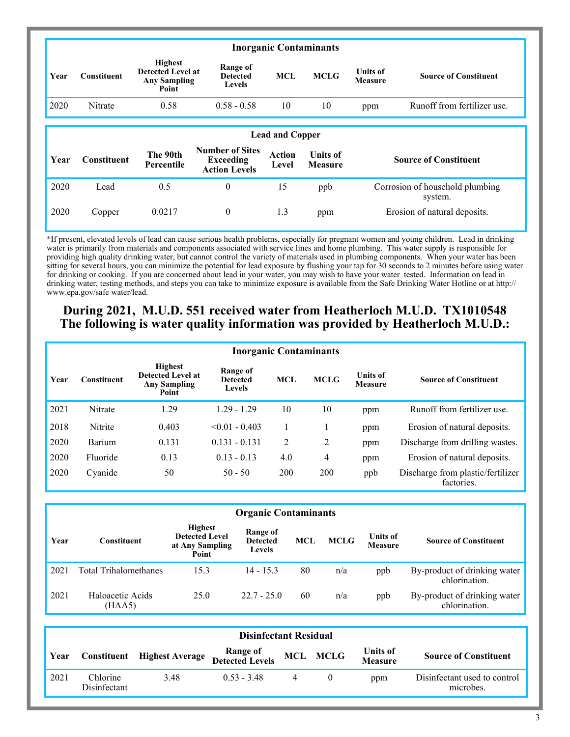| <b>Inorganic Contaminants</b> |             |                                                                            |                                              |            |             |                                   |                              |  |  |
|-------------------------------|-------------|----------------------------------------------------------------------------|----------------------------------------------|------------|-------------|-----------------------------------|------------------------------|--|--|
| Year                          | Constituent | <b>Highest</b><br><b>Detected Level at</b><br><b>Any Sampling</b><br>Point | Range of<br><b>Detected</b><br><b>Levels</b> | <b>MCL</b> | <b>MCLG</b> | <b>Units of</b><br><b>Measure</b> | <b>Source of Constituent</b> |  |  |
| 2020                          | Nitrate     | 0.58                                                                       | $0.58 - 0.58$                                | 10         | 10          | ppm                               | Runoff from fertilizer use.  |  |  |

#### **Year Constituent The 90th Percentile Number of Sites Exceeding Action Levels Action Level Units of Measure Source of Constituent**  2020 Lead 0.5 0 15 ppb Corrosion of household plumbing system. 2020 Copper 0.0217 0 1.3 ppm Erosion of natural deposits. **Lead and Copper**

\*If present, elevated levels of lead can cause serious health problems, especially for pregnant women and young children. Lead in drinking water is primarily from materials and components associated with service lines and home plumbing. This water supply is responsible for providing high quality drinking water, but cannot control the variety of materials used in plumbing components. When your water has been sitting for several hours, you can minimize the potential for lead exposure by flushing your tap for 30 seconds to 2 minutes before using water for drinking or cooking. If you are concerned about lead in your water, you may wish to have your water tested. Information on lead in drinking water, testing methods, and steps you can take to minimize exposure is available from the Safe Drinking Water Hotline or at http:// www.epa.gov/safe water/lead.

# **During 2021, M.U.D. 551 received water from Heatherloch M.U.D. TX1010548 The following is water quality information was provided by Heatherloch M.U.D.:**

|      | <b>Inorganic Contaminants</b> |                                                                            |                                       |                |             |                                   |                                                 |  |  |  |  |
|------|-------------------------------|----------------------------------------------------------------------------|---------------------------------------|----------------|-------------|-----------------------------------|-------------------------------------------------|--|--|--|--|
| Year | <b>Constituent</b>            | <b>Highest</b><br><b>Detected Level at</b><br><b>Any Sampling</b><br>Point | Range of<br><b>Detected</b><br>Levels | <b>MCL</b>     | <b>MCLG</b> | <b>Units of</b><br><b>Measure</b> | <b>Source of Constituent</b>                    |  |  |  |  |
| 2021 | Nitrate                       | 1.29                                                                       | $1.29 - 1.29$                         | 10             | 10          | ppm                               | Runoff from fertilizer use.                     |  |  |  |  |
| 2018 | Nitrite                       | 0.403                                                                      | $< 0.01 - 0.403$                      |                |             | ppm                               | Erosion of natural deposits.                    |  |  |  |  |
| 2020 | Barium                        | 0.131                                                                      | $0.131 - 0.131$                       | $\overline{2}$ | 2           | ppm                               | Discharge from drilling wastes.                 |  |  |  |  |
| 2020 | Fluoride                      | 0.13                                                                       | $0.13 - 0.13$                         | 4.0            | 4           | ppm                               | Erosion of natural deposits.                    |  |  |  |  |
| 2020 | Cyanide                       | 50                                                                         | $50 - 50$                             | 200            | 200         | ppb                               | Discharge from plastic/fertilizer<br>factories. |  |  |  |  |

#### **Organic Contaminants**

| Year | Constituent                | <b>Highest</b><br><b>Detected Level</b><br>at Any Sampling<br>Point | Range of<br><b>Detected</b><br><b>Levels</b> | <b>MCL</b> | <b>MCLG</b> | <b>Units of</b><br><b>Measure</b> | <b>Source of Constituent</b>                  |
|------|----------------------------|---------------------------------------------------------------------|----------------------------------------------|------------|-------------|-----------------------------------|-----------------------------------------------|
| 2021 | Total Trihalomethanes      | 15.3                                                                | $14 - 15.3$                                  | 80         | n/a         | ppb                               | By-product of drinking water<br>chlorination. |
| 2021 | Haloacetic Acids<br>(HAA5) | 25.0                                                                | $22.7 - 25.0$                                | 60         | n/a         | ppb                               | By-product of drinking water<br>chlorination. |

|             | <b>Disinfectant Residual</b> |                                    |                                               |  |  |                                   |                                           |  |  |  |
|-------------|------------------------------|------------------------------------|-----------------------------------------------|--|--|-----------------------------------|-------------------------------------------|--|--|--|
| <b>Year</b> |                              | <b>Constituent</b> Highest Average | Range of MCL MCLG<br>Detected Levels MCL MCLG |  |  | <b>Units of</b><br><b>Measure</b> | <b>Source of Constituent</b>              |  |  |  |
| 2021        | Chlorine<br>Disinfectant     | 3.48                               | $0.53 - 3.48$                                 |  |  | ppm                               | Disinfectant used to control<br>microbes. |  |  |  |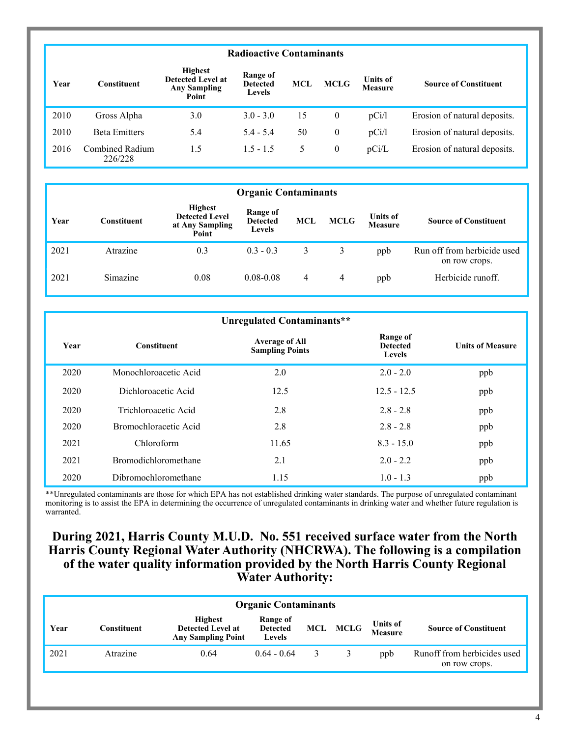## **Radioactive Contaminants**

| Year | Constituent                | <b>Highest</b><br><b>Detected Level at</b><br><b>Any Sampling</b><br>Point | Range of<br><b>Detected</b><br><b>Levels</b> | MCL | <b>MCLG</b>  | Units of<br><b>Measure</b> | <b>Source of Constituent</b> |
|------|----------------------------|----------------------------------------------------------------------------|----------------------------------------------|-----|--------------|----------------------------|------------------------------|
| 2010 | Gross Alpha                | 3.0                                                                        | $3.0 - 3.0$                                  | 15  | $\mathbf{0}$ | pCi/l                      | Erosion of natural deposits. |
| 2010 | <b>Beta Emitters</b>       | 5.4                                                                        | $5.4 - 5.4$                                  | 50  | $\mathbf{0}$ | pCi/l                      | Erosion of natural deposits. |
| 2016 | Combined Radium<br>226/228 | 1.5                                                                        | $1.5 - 1.5$                                  | 5.  | $\mathbf{0}$ | pCi/L                      | Erosion of natural deposits. |

|      | <b>Organic Contaminants</b> |                                                                     |                                              |     |             |                                   |                                              |  |  |  |
|------|-----------------------------|---------------------------------------------------------------------|----------------------------------------------|-----|-------------|-----------------------------------|----------------------------------------------|--|--|--|
| Year | Constituent                 | <b>Highest</b><br><b>Detected Level</b><br>at Any Sampling<br>Point | Range of<br><b>Detected</b><br><b>Levels</b> | MCL | <b>MCLG</b> | <b>Units of</b><br><b>Measure</b> | <b>Source of Constituent</b>                 |  |  |  |
| 2021 | Atrazine                    | 0.3                                                                 | $0.3 - 0.3$                                  | 3   | 3           | ppb                               | Run off from herbicide used<br>on row crops. |  |  |  |
| 2021 | Simazine                    | 0.08                                                                | $0.08 - 0.08$                                | 4   | 4           | ppb                               | Herbicide runoff.                            |  |  |  |

|      | Unregulated Contaminants**  |                                                 |                                       |                         |  |  |  |  |  |
|------|-----------------------------|-------------------------------------------------|---------------------------------------|-------------------------|--|--|--|--|--|
| Year | <b>Constituent</b>          | <b>Average of All</b><br><b>Sampling Points</b> | Range of<br><b>Detected</b><br>Levels | <b>Units of Measure</b> |  |  |  |  |  |
| 2020 | Monochloroacetic Acid       | 2.0                                             | $2.0 - 2.0$                           | ppb                     |  |  |  |  |  |
| 2020 | Dichloroacetic Acid         | 12.5                                            | $12.5 - 12.5$                         | ppb                     |  |  |  |  |  |
| 2020 | Trichloroacetic Acid        | 2.8                                             | $2.8 - 2.8$                           | ppb                     |  |  |  |  |  |
| 2020 | Bromochloracetic Acid       | 2.8                                             | $2.8 - 2.8$                           | ppb                     |  |  |  |  |  |
| 2021 | Chloroform                  | 11.65                                           | $8.3 - 15.0$                          | ppb                     |  |  |  |  |  |
| 2021 | <b>Bromodichloromethane</b> | 2.1                                             | $2.0 - 2.2$                           | ppb                     |  |  |  |  |  |
| 2020 | Dibromochloromethane        | 1.15                                            | $1.0 - 1.3$                           | ppb                     |  |  |  |  |  |

\*\*Unregulated contaminants are those for which EPA has not established drinking water standards. The purpose of unregulated contaminant monitoring is to assist the EPA in determining the occurrence of unregulated contaminants in drinking water and whether future regulation is warranted.

# **During 2021, Harris County M.U.D. No. 551 received surface water from the North Harris County Regional Water Authority (NHCRWA). The following is a compilation of the water quality information provided by the North Harris County Regional Water Authority:**

| <b>Organic Contaminants</b> |             |                                                                         |                                              |   |          |                                   |                                              |  |
|-----------------------------|-------------|-------------------------------------------------------------------------|----------------------------------------------|---|----------|-----------------------------------|----------------------------------------------|--|
| Year                        | Constituent | <b>Highest</b><br><b>Detected Level at</b><br><b>Any Sampling Point</b> | Range of<br><b>Detected</b><br><b>Levels</b> |   | MCL MCLG | <b>Units of</b><br><b>Measure</b> | <b>Source of Constituent</b>                 |  |
| 2021                        | Atrazine    | 0.64                                                                    | $0.64 - 0.64$                                | 3 |          | ppb                               | Runoff from herbicides used<br>on row crops. |  |